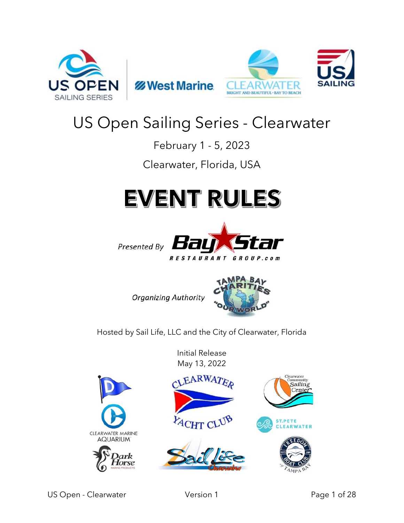





## US Open Sailing Series - Clearwater

February 1 - 5, 2023

Clearwater, Florida, USA

# **EVENT RULES**



**Organizing Authority** 



Hosted by Sail Life, LLC and the City of Clearwater, Florida

Initial Release May 13, 2022

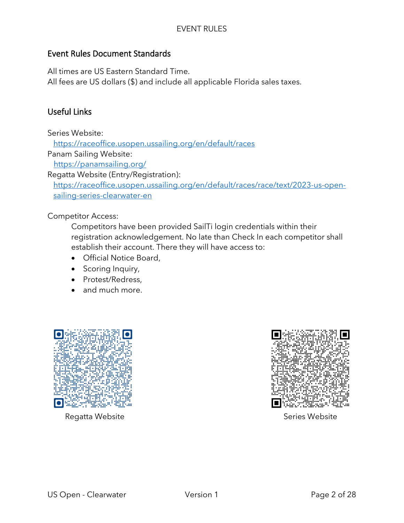#### Event Rules Document Standards

All times are US Eastern Standard Time.

All fees are US dollars (\$) and include all applicable Florida sales taxes.

## Useful Links

Series Website:

<https://raceoffice.usopen.ussailing.org/en/default/races>

Panam Sailing Website:

<https://panamsailing.org/>

Regatta Website (Entry/Registration):

[https://raceoffice.usopen.ussailing.org/en/default/races/race/text/2023-us-open](https://raceoffice.usopen.ussailing.org/en/default/races/race/text/2022-us-open-sailing-series-clearwater-en)[sailing-series-clearwater-en](https://raceoffice.usopen.ussailing.org/en/default/races/race/text/2022-us-open-sailing-series-clearwater-en)

Competitor Access:

Competitors have been provided SailTi login credentials within their registration acknowledgement. No late than Check In each competitor shall establish their account. There they will have access to:

- Official Notice Board,
- Scoring Inquiry,
- Protest/Redress,
- and much more.



Regatta Website **Series Website** Series Website

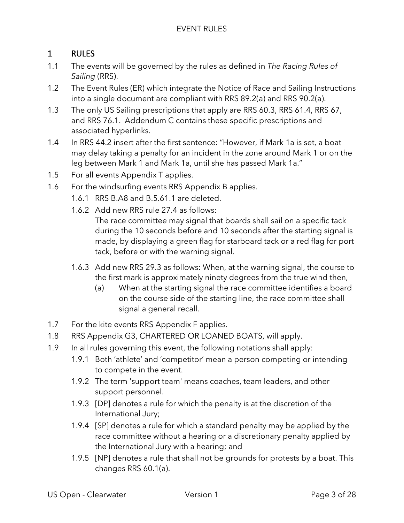## 1 RULES

- 1.1 The events will be governed by the rules as defined in *The Racing Rules of Sailing* (RRS).
- 1.2 The Event Rules (ER) which integrate the Notice of Race and Sailing Instructions into a single document are compliant with RRS 89.2(a) and RRS 90.2(a).
- 1.3 The only US Sailing prescriptions that apply are RRS 60.3, RRS 61.4, RRS 67, and RRS 76.1. Addendum C contains these specific prescriptions and associated hyperlinks.
- 1.4 In RRS 44.2 insert after the first sentence: "However, if Mark 1a is set, a boat may delay taking a penalty for an incident in the zone around Mark 1 or on the leg between Mark 1 and Mark 1a, until she has passed Mark 1a."
- 1.5 For all events Appendix T applies.
- 1.6 For the windsurfing events RRS Appendix B applies.
	- 1.6.1 RRS B.A8 and B.5.61.1 are deleted.
	- 1.6.2 Add new RRS rule 27.4 as follows: The race committee may signal that boards shall sail on a specific tack during the 10 seconds before and 10 seconds after the starting signal is made, by displaying a green flag for starboard tack or a red flag for port tack, before or with the warning signal.
	- 1.6.3 Add new RRS 29.3 as follows: When, at the warning signal, the course to the first mark is approximately ninety degrees from the true wind then,
		- (a) When at the starting signal the race committee identifies a board on the course side of the starting line, the race committee shall signal a general recall.
- 1.7 For the kite events RRS Appendix F applies.
- 1.8 RRS Appendix G3, CHARTERED OR LOANED BOATS, will apply.
- 1.9 In all rules governing this event, the following notations shall apply:
	- 1.9.1 Both 'athlete' and 'competitor' mean a person competing or intending to compete in the event.
	- 1.9.2 The term 'support team' means coaches, team leaders, and other support personnel.
	- 1.9.3 [DP] denotes a rule for which the penalty is at the discretion of the International Jury;
	- 1.9.4 [SP] denotes a rule for which a standard penalty may be applied by the race committee without a hearing or a discretionary penalty applied by the International Jury with a hearing; and
	- 1.9.5 [NP] denotes a rule that shall not be grounds for protests by a boat. This changes RRS 60.1(a).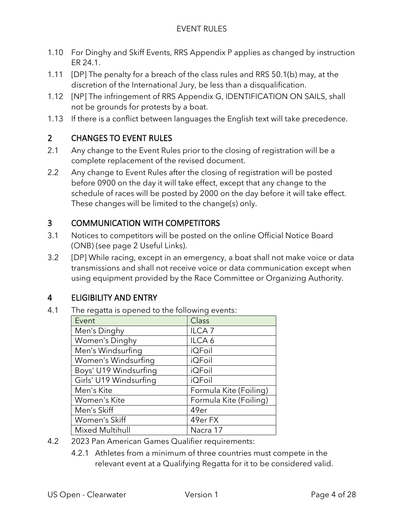- 1.10 For Dinghy and Skiff Events, RRS Appendix P applies as changed by instruction ER 24.1.
- 1.11 [DP] The penalty for a breach of the class rules and RRS 50.1(b) may, at the discretion of the International Jury, be less than a disqualification.
- 1.12 [NP] The infringement of RRS Appendix G, IDENTIFICATION ON SAILS, shall not be grounds for protests by a boat.
- 1.13 If there is a conflict between languages the English text will take precedence.

## 2 CHANGES TO EVENT RULES

- 2.1 Any change to the Event Rules prior to the closing of registration will be a complete replacement of the revised document.
- 2.2 Any change to Event Rules after the closing of registration will be posted before 0900 on the day it will take effect, except that any change to the schedule of races will be posted by 2000 on the day before it will take effect. These changes will be limited to the change(s) only.

## 3 COMMUNICATION WITH COMPETITORS

- 3.1 Notices to competitors will be posted on the online Official Notice Board (ONB) (see page 2 Useful Links).
- 3.2 [DP] While racing, except in an emergency, a boat shall not make voice or data transmissions and shall not receive voice or data communication except when using equipment provided by the Race Committee or Organizing Authority.

## 4 ELIGIBILITY AND ENTRY

4.1 The regatta is opened to the following events:

| Event                  | <b>Class</b>           |
|------------------------|------------------------|
| Men's Dinghy           | ILCA <sub>7</sub>      |
| Women's Dinghy         | ILCA <sub>6</sub>      |
| Men's Windsurfing      | <b>iQFoil</b>          |
| Women's Windsurfing    | <b>iQFoil</b>          |
| Boys' U19 Windsurfing  | <b>iQFoil</b>          |
| Girls' U19 Windsurfing | <b>iQFoil</b>          |
| Men's Kite             | Formula Kite (Foiling) |
| Women's Kite           | Formula Kite (Foiling) |
| Men's Skiff            | 49er                   |
| Women's Skiff          | 49er FX                |
| <b>Mixed Multihull</b> | Nacra 17               |

- 4.2 2023 Pan American Games Qualifier requirements:
	- 4.2.1 Athletes from a minimum of three countries must compete in the relevant event at a Qualifying Regatta for it to be considered valid.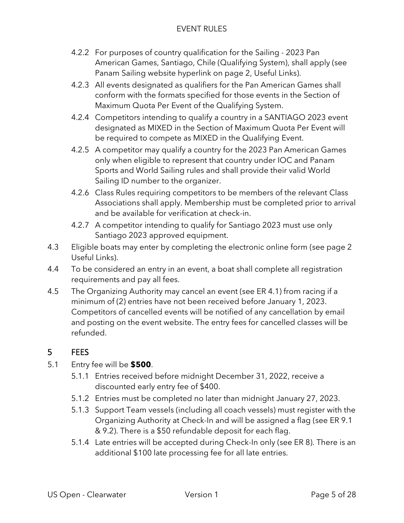- 4.2.2 For purposes of country qualification for the Sailing 2023 Pan American Games, Santiago, Chile (Qualifying System), shall apply (see Panam Sailing website hyperlink on page 2, Useful Links).
- 4.2.3 All events designated as qualifiers for the Pan American Games shall conform with the formats specified for those events in the Section of Maximum Quota Per Event of the Qualifying System.
- 4.2.4 Competitors intending to qualify a country in a SANTIAGO 2023 event designated as MIXED in the Section of Maximum Quota Per Event will be required to compete as MIXED in the Qualifying Event.
- 4.2.5 A competitor may qualify a country for the 2023 Pan American Games only when eligible to represent that country under IOC and Panam Sports and World Sailing rules and shall provide their valid World Sailing ID number to the organizer.
- 4.2.6 Class Rules requiring competitors to be members of the relevant Class Associations shall apply. Membership must be completed prior to arrival and be available for verification at check-in.
- 4.2.7 A competitor intending to qualify for Santiago 2023 must use only Santiago 2023 approved equipment.
- 4.3 Eligible boats may enter by completing the electronic online form (see page 2 Useful Links).
- 4.4 To be considered an entry in an event, a boat shall complete all registration requirements and pay all fees.
- 4.5 The Organizing Authority may cancel an event (see ER 4.1) from racing if a minimum of (2) entries have not been received before January 1, 2023. Competitors of cancelled events will be notified of any cancellation by email and posting on the event website. The entry fees for cancelled classes will be refunded.

## 5 FEES

- 5.1 Entry fee will be **\$500**.
	- 5.1.1 Entries received before midnight December 31, 2022, receive a discounted early entry fee of \$400.
	- 5.1.2 Entries must be completed no later than midnight January 27, 2023.
	- 5.1.3 Support Team vessels (including all coach vessels) must register with the Organizing Authority at Check-In and will be assigned a flag (see ER 9.1 & 9.2). There is a \$50 refundable deposit for each flag.
	- 5.1.4 Late entries will be accepted during Check-In only (see ER 8). There is an additional \$100 late processing fee for all late entries.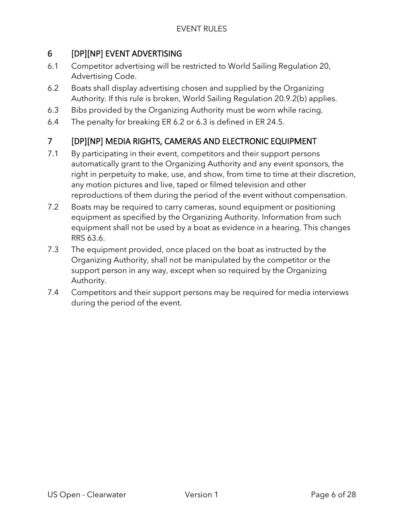## 6 [DP][NP] EVENT ADVERTISING

- 6.1 Competitor advertising will be restricted to World Sailing Regulation 20, Advertising Code.
- 6.2 Boats shall display advertising chosen and supplied by the Organizing Authority. If this rule is broken, World Sailing Regulation 20.9.2(b) applies.
- 6.3 Bibs provided by the Organizing Authority must be worn while racing.
- 6.4 The penalty for breaking ER 6.2 or 6.3 is defined in ER 24.5.

## 7 [DP][NP] MEDIA RIGHTS, CAMERAS AND ELECTRONIC EQUIPMENT

- 7.1 By participating in their event, competitors and their support persons automatically grant to the Organizing Authority and any event sponsors, the right in perpetuity to make, use, and show, from time to time at their discretion, any motion pictures and live, taped or filmed television and other reproductions of them during the period of the event without compensation.
- 7.2 Boats may be required to carry cameras, sound equipment or positioning equipment as specified by the Organizing Authority. Information from such equipment shall not be used by a boat as evidence in a hearing. This changes RRS 63.6.
- 7.3 The equipment provided, once placed on the boat as instructed by the Organizing Authority, shall not be manipulated by the competitor or the support person in any way, except when so required by the Organizing Authority.
- 7.4 Competitors and their support persons may be required for media interviews during the period of the event.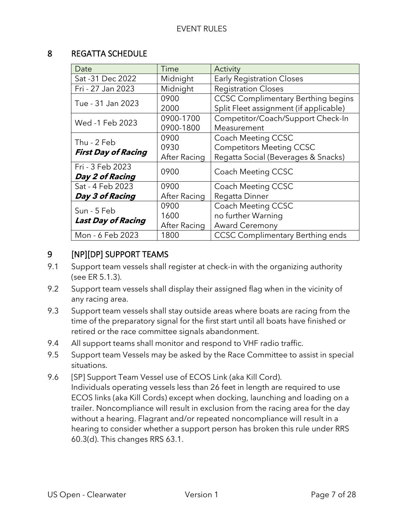#### 8 REGATTA SCHEDULE

| Date                       | Time         | Activity                                  |  |
|----------------------------|--------------|-------------------------------------------|--|
| Sat - 31 Dec 2022          | Midnight     | <b>Early Registration Closes</b>          |  |
| Fri - 27 Jan 2023          | Midnight     | <b>Registration Closes</b>                |  |
| Tue - 31 Jan 2023          | 0900         | <b>CCSC Complimentary Berthing begins</b> |  |
|                            | 2000         | Split Fleet assignment (if applicable)    |  |
| Wed -1 Feb 2023            | 0900-1700    | Competitor/Coach/Support Check-In         |  |
|                            | 0900-1800    | Measurement                               |  |
| Thu - 2 Feb                | 0900         | <b>Coach Meeting CCSC</b>                 |  |
|                            | 0930         | <b>Competitors Meeting CCSC</b>           |  |
| <b>First Day of Racing</b> | After Racing | Regatta Social (Beverages & Snacks)       |  |
| Fri - 3 Feb 2023           | 0900         | <b>Coach Meeting CCSC</b>                 |  |
| Day 2 of Racing            |              |                                           |  |
| Sat - 4 Feb 2023           | 0900         | Coach Meeting CCSC                        |  |
| Day 3 of Racing            | After Racing | Regatta Dinner                            |  |
| Sun - 5 Feb                | 0900         | Coach Meeting CCSC                        |  |
|                            | 1600         | no further Warning                        |  |
| <b>Last Day of Racing</b>  | After Racing | <b>Award Ceremony</b>                     |  |
| Mon - 6 Feb 2023           | 1800         | <b>CCSC Complimentary Berthing ends</b>   |  |

## 9 [NP][DP] SUPPORT TEAMS

- 9.1 Support team vessels shall register at check-in with the organizing authority (see ER 5.1.3).
- 9.2 Support team vessels shall display their assigned flag when in the vicinity of any racing area.
- 9.3 Support team vessels shall stay outside areas where boats are racing from the time of the preparatory signal for the first start until all boats have finished or retired or the race committee signals abandonment.
- 9.4 All support teams shall monitor and respond to VHF radio traffic.
- 9.5 Support team Vessels may be asked by the Race Committee to assist in special situations.
- 9.6 [SP] Support Team Vessel use of ECOS Link (aka Kill Cord). Individuals operating vessels less than 26 feet in length are required to use ECOS links (aka Kill Cords) except when docking, launching and loading on a trailer. Noncompliance will result in exclusion from the racing area for the day without a hearing. Flagrant and/or repeated noncompliance will result in a hearing to consider whether a support person has broken this rule under RRS 60.3(d). This changes RRS 63.1.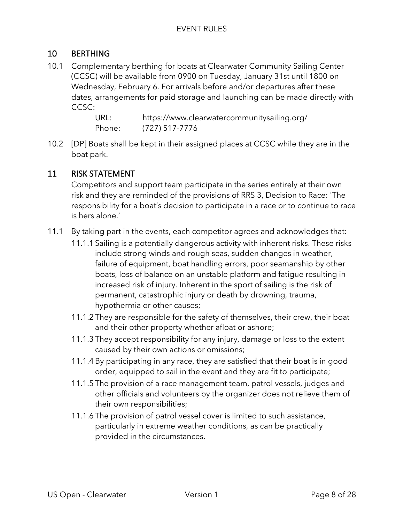## 10 BERTHING

10.1 Complementary berthing for boats at Clearwater Community Sailing Center (CCSC) will be available from 0900 on Tuesday, January 31st until 1800 on Wednesday, February 6. For arrivals before and/or departures after these dates, arrangements for paid storage and launching can be made directly with CCSC:

> URL: https://www.clearwatercommunitysailing.org/ Phone: (727) 517-7776

10.2 [DP] Boats shall be kept in their assigned places at CCSC while they are in the boat park.

#### 11 RISK STATEMENT

Competitors and support team participate in the series entirely at their own risk and they are reminded of the provisions of RRS 3, Decision to Race: 'The responsibility for a boat's decision to participate in a race or to continue to race is hers alone.'

- 11.1 By taking part in the events, each competitor agrees and acknowledges that:
	- 11.1.1 Sailing is a potentially dangerous activity with inherent risks. These risks include strong winds and rough seas, sudden changes in weather, failure of equipment, boat handling errors, poor seamanship by other boats, loss of balance on an unstable platform and fatigue resulting in increased risk of injury. Inherent in the sport of sailing is the risk of permanent, catastrophic injury or death by drowning, trauma, hypothermia or other causes;
	- 11.1.2 They are responsible for the safety of themselves, their crew, their boat and their other property whether afloat or ashore;
	- 11.1.3 They accept responsibility for any injury, damage or loss to the extent caused by their own actions or omissions;
	- 11.1.4 By participating in any race, they are satisfied that their boat is in good order, equipped to sail in the event and they are fit to participate;
	- 11.1.5 The provision of a race management team, patrol vessels, judges and other officials and volunteers by the organizer does not relieve them of their own responsibilities;
	- 11.1.6 The provision of patrol vessel cover is limited to such assistance, particularly in extreme weather conditions, as can be practically provided in the circumstances.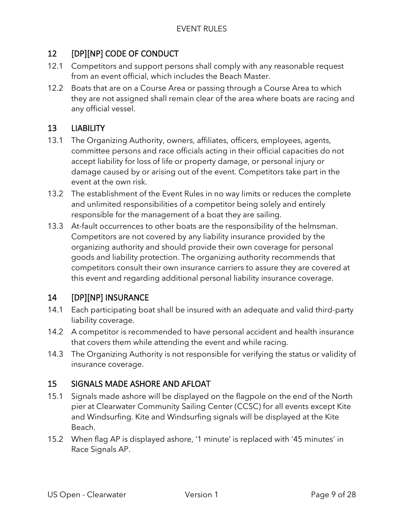## 12 [DP][NP] CODE OF CONDUCT

- 12.1 Competitors and support persons shall comply with any reasonable request from an event official, which includes the Beach Master.
- 12.2 Boats that are on a Course Area or passing through a Course Area to which they are not assigned shall remain clear of the area where boats are racing and any official vessel.

## 13 LIABILITY

- 13.1 The Organizing Authority, owners, affiliates, officers, employees, agents, committee persons and race officials acting in their official capacities do not accept liability for loss of life or property damage, or personal injury or damage caused by or arising out of the event. Competitors take part in the event at the own risk.
- 13.2 The establishment of the Event Rules in no way limits or reduces the complete and unlimited responsibilities of a competitor being solely and entirely responsible for the management of a boat they are sailing.
- 13.3 At-fault occurrences to other boats are the responsibility of the helmsman. Competitors are not covered by any liability insurance provided by the organizing authority and should provide their own coverage for personal goods and liability protection. The organizing authority recommends that competitors consult their own insurance carriers to assure they are covered at this event and regarding additional personal liability insurance coverage.

## 14 [DP][NP] INSURANCE

- 14.1 Each participating boat shall be insured with an adequate and valid third-party liability coverage.
- 14.2 A competitor is recommended to have personal accident and health insurance that covers them while attending the event and while racing.
- 14.3 The Organizing Authority is not responsible for verifying the status or validity of insurance coverage.

#### 15 SIGNALS MADE ASHORE AND AFLOAT

- 15.1 Signals made ashore will be displayed on the flagpole on the end of the North pier at Clearwater Community Sailing Center (CCSC) for all events except Kite and Windsurfing. Kite and Windsurfing signals will be displayed at the Kite Beach.
- 15.2 When flag AP is displayed ashore, '1 minute' is replaced with '45 minutes' in Race Signals AP.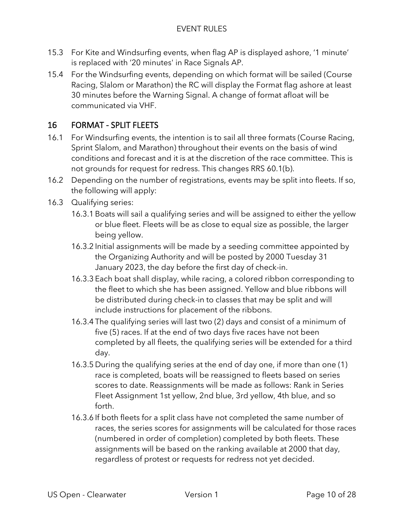- 15.3 For Kite and Windsurfing events, when flag AP is displayed ashore, '1 minute' is replaced with '20 minutes' in Race Signals AP.
- 15.4 For the Windsurfing events, depending on which format will be sailed (Course Racing, Slalom or Marathon) the RC will display the Format flag ashore at least 30 minutes before the Warning Signal. A change of format afloat will be communicated via VHF.

## 16 FORMAT - SPLIT FLEETS

- 16.1 For Windsurfing events, the intention is to sail all three formats (Course Racing, Sprint Slalom, and Marathon) throughout their events on the basis of wind conditions and forecast and it is at the discretion of the race committee. This is not grounds for request for redress. This changes RRS 60.1(b).
- 16.2 Depending on the number of registrations, events may be split into fleets. If so, the following will apply:
- 16.3 Qualifying series:
	- 16.3.1 Boats will sail a qualifying series and will be assigned to either the yellow or blue fleet. Fleets will be as close to equal size as possible, the larger being yellow.
	- 16.3.2 Initial assignments will be made by a seeding committee appointed by the Organizing Authority and will be posted by 2000 Tuesday 31 January 2023, the day before the first day of check-in.
	- 16.3.3 Each boat shall display, while racing, a colored ribbon corresponding to the fleet to which she has been assigned. Yellow and blue ribbons will be distributed during check-in to classes that may be split and will include instructions for placement of the ribbons.
	- 16.3.4 The qualifying series will last two (2) days and consist of a minimum of five (5) races. If at the end of two days five races have not been completed by all fleets, the qualifying series will be extended for a third day.
	- 16.3.5 During the qualifying series at the end of day one, if more than one (1) race is completed, boats will be reassigned to fleets based on series scores to date. Reassignments will be made as follows: Rank in Series Fleet Assignment 1st yellow, 2nd blue, 3rd yellow, 4th blue, and so forth.
	- 16.3.6 If both fleets for a split class have not completed the same number of races, the series scores for assignments will be calculated for those races (numbered in order of completion) completed by both fleets. These assignments will be based on the ranking available at 2000 that day, regardless of protest or requests for redress not yet decided.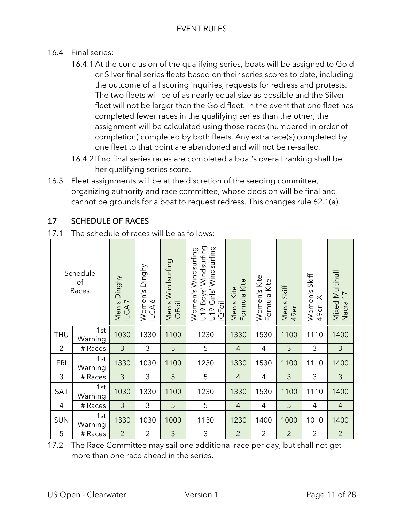- 16.4 Final series:
	- 16.4.1 At the conclusion of the qualifying series, boats will be assigned to Gold or Silver final series fleets based on their series scores to date, including the outcome of all scoring inquiries, requests for redress and protests. The two fleets will be of as nearly equal size as possible and the Silver fleet will not be larger than the Gold fleet. In the event that one fleet has completed fewer races in the qualifying series than the other, the assignment will be calculated using those races (numbered in order of completion) completed by both fleets. Any extra race(s) completed by one fleet to that point are abandoned and will not be re-sailed.
	- 16.4.2 If no final series races are completed a boat's overall ranking shall be her qualifying series score.
- 16.5 Fleet assignments will be at the discretion of the seeding committee, organizing authority and race committee, whose decision will be final and cannot be grounds for a boat to request redress. This changes rule 62.1(a).

## 17 SCHEDULE OF RACES

17.1 The schedule of races will be as follows:

|                | Schedule<br>of<br>Races | Men's Dinghy<br>ILCA <sub>7</sub> | Women's Dinghy<br>$\infty$<br>$\sum_{n=1}^{\infty}$ | Men's Windsurfing<br>IQFoil | Boys' Windsurfing<br>U19 Girls' Windsurfing<br>Women's Windsurfing<br>iQFoil<br>U <sub>19</sub> | Formula Kite<br>Men's Kite | Women's Kite<br>Formula Kite | Men's Skiff<br>49er | Skiff<br>Women's<br>K<br>49er | Mixed Multihull<br>$\overline{1}$<br>Nacra |
|----------------|-------------------------|-----------------------------------|-----------------------------------------------------|-----------------------------|-------------------------------------------------------------------------------------------------|----------------------------|------------------------------|---------------------|-------------------------------|--------------------------------------------|
| <b>THU</b>     | 1st<br>Warning          | 1030                              | 1330                                                | 1100                        | 1230                                                                                            | 1330                       | 1530                         | 1100                | 1110                          | 1400                                       |
| $\overline{2}$ | # Races                 | $\mathfrak{Z}$                    | 3                                                   | 5                           | 5                                                                                               | 4                          | 4                            | 3                   | 3                             | $\mathfrak{Z}$                             |
| <b>FRI</b>     | 1st<br>Warning          | 1330                              | 1030                                                | 1100                        | 1230                                                                                            | 1330                       | 1530                         | 1100                | 1110                          | 1400                                       |
| 3              | # Races                 | 3                                 | 3                                                   | 5                           | 5                                                                                               | 4                          | 4                            | 3                   | 3                             | $\mathfrak{Z}$                             |
| SAT            | 1st<br>Warning          | 1030                              | 1330                                                | 1100                        | 1230                                                                                            | 1330                       | 1530                         | 1100                | 1110                          | 1400                                       |
| 4              | # Races                 | 3                                 | 3                                                   | 5                           | 5                                                                                               | $\overline{4}$             | 4                            | 5                   | 4                             | $\overline{4}$                             |
| <b>SUN</b>     | 1st<br>Warning          | 1330                              | 1030                                                | 1000                        | 1130                                                                                            | 1230                       | 1400                         | 1000                | 1010                          | 1400                                       |
| 5              | # Races                 | $\overline{2}$                    | $\overline{2}$                                      | 3                           | 3                                                                                               | $\overline{2}$             | $\overline{2}$               | $\overline{2}$      | $\overline{2}$                | $\overline{2}$                             |

17.2 The Race Committee may sail one additional race per day, but shall not get more than one race ahead in the series.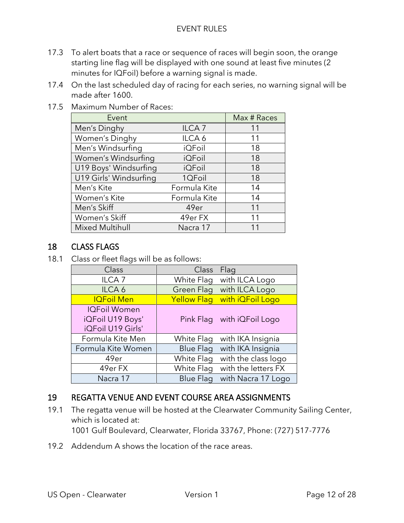- 17.3 To alert boats that a race or sequence of races will begin soon, the orange starting line flag will be displayed with one sound at least five minutes (2 minutes for IQFoil) before a warning signal is made.
- 17.4 On the last scheduled day of racing for each series, no warning signal will be made after 1600.

| 17.5 Maximum Number of Races: |  |
|-------------------------------|--|
|                               |  |

| Event                  |                   | Max # Races |
|------------------------|-------------------|-------------|
| Men's Dinghy           | ILCA <sub>7</sub> | 11          |
| Women's Dinghy         | ILCA <sub>6</sub> | 11          |
| Men's Windsurfing      | <b>iQFoil</b>     | 18          |
| Women's Windsurfing    | <b>iQFoil</b>     | 18          |
| U19 Boys' Windsurfing  | <b>iQFoil</b>     | 18          |
| U19 Girls' Windsurfing | 1QFoil            | 18          |
| Men's Kite             | Formula Kite      | 14          |
| Women's Kite           | Formula Kite      | 14          |
| Men's Skiff            | 49er              | 11          |
| Women's Skiff          | 49er FX           | 11          |
| <b>Mixed Multihull</b> | Nacra 17          |             |

## 18 CLASS FLAGS

18.1 Class or fleet flags will be as follows:

| Class               | Class              | Flag                |
|---------------------|--------------------|---------------------|
| ILCA <sub>7</sub>   | White Flag         | with ILCA Logo      |
| ILCA <sub>6</sub>   | <b>Green Flag</b>  | with ILCA Logo      |
| <b>IQFoil Men</b>   | <b>Yellow Flag</b> | with iQFoil Logo    |
| <b>IQFoil Women</b> |                    |                     |
| iQFoil U19 Boys'    | Pink Flag          | with iQFoil Logo    |
| iQFoil U19 Girls'   |                    |                     |
| Formula Kite Men    | White Flag         | with IKA Insignia   |
| Formula Kite Women  | <b>Blue Flag</b>   | with IKA Insignia   |
| 49er                | White Flag         | with the class logo |
| 49er FX             | White Flag         | with the letters FX |
| Nacra 17            | <b>Blue Flag</b>   | with Nacra 17 Logo  |

## 19 REGATTA VENUE AND EVENT COURSE AREA ASSIGNMENTS

- 19.1 The regatta venue will be hosted at the Clearwater Community Sailing Center, which is located at: 1001 Gulf Boulevard, Clearwater, Florida 33767, Phone: (727) 517-7776
- 19.2 Addendum A shows the location of the race areas.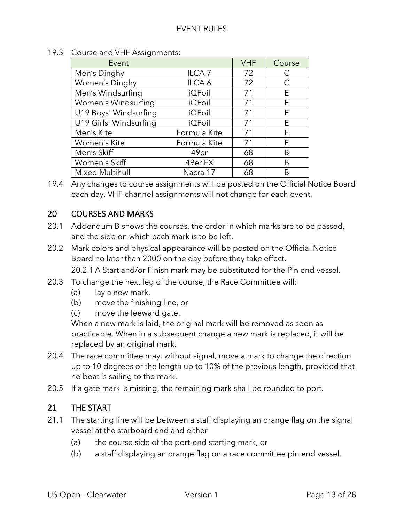| Event                  |                   | <b>VHF</b> | Course |
|------------------------|-------------------|------------|--------|
| Men's Dinghy           | ILCA <sub>7</sub> | 72         | С      |
| Women's Dinghy         | ILCA <sub>6</sub> | 72         | C      |
| Men's Windsurfing      | <b>iQFoil</b>     | 71         | E.     |
| Women's Windsurfing    | <b>iQFoil</b>     | 71         | E      |
| U19 Boys' Windsurfing  | <b>iQFoil</b>     | 71         | E      |
| U19 Girls' Windsurfing | <b>iQFoil</b>     | 71         | E      |
| Men's Kite             | Formula Kite      | 71         | E      |
| Women's Kite           | Formula Kite      | 71         | E      |
| Men's Skiff            | 49er              | 68         | B      |
| Women's Skiff          | 49er FX           | 68         | B      |
| <b>Mixed Multihull</b> | Nacra 17          | 68         |        |

19.3 Course and VHF Assignments:

19.4 Any changes to course assignments will be posted on the Official Notice Board each day. VHF channel assignments will not change for each event.

## 20 COURSES AND MARKS

- 20.1 Addendum B shows the courses, the order in which marks are to be passed, and the side on which each mark is to be left.
- 20.2 Mark colors and physical appearance will be posted on the Official Notice Board no later than 2000 on the day before they take effect.

20.2.1 A Start and/or Finish mark may be substituted for the Pin end vessel.

- 20.3 To change the next leg of the course, the Race Committee will:
	- (a) lay a new mark,
	- (b) move the finishing line, or
	- (c) move the leeward gate.

When a new mark is laid, the original mark will be removed as soon as practicable. When in a subsequent change a new mark is replaced, it will be replaced by an original mark.

- 20.4 The race committee may, without signal, move a mark to change the direction up to 10 degrees or the length up to 10% of the previous length, provided that no boat is sailing to the mark.
- 20.5 If a gate mark is missing, the remaining mark shall be rounded to port.

#### 21 THE START

- 21.1 The starting line will be between a staff displaying an orange flag on the signal vessel at the starboard end and either
	- (a) the course side of the port-end starting mark, or
	- (b) a staff displaying an orange flag on a race committee pin end vessel.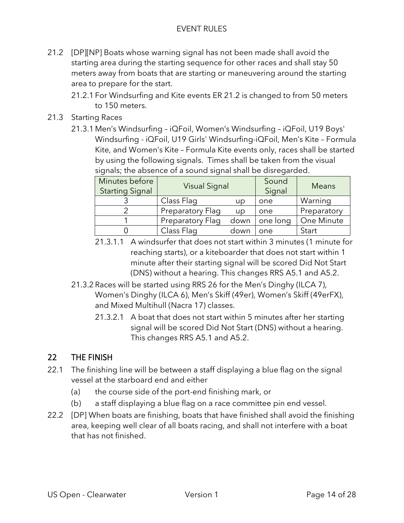- 21.2 [DP][NP] Boats whose warning signal has not been made shall avoid the starting area during the starting sequence for other races and shall stay 50 meters away from boats that are starting or maneuvering around the starting area to prepare for the start.
	- 21.2.1 For Windsurfing and Kite events ER 21.2 is changed to from 50 meters to 150 meters.
- 21.3 Starting Races
	- 21.3.1 Men's Windsurfing iQFoil, Women's Windsurfing iQFoil, U19 Boys' Windsurfing - iQFoil, U19 Girls' Windsurfing-iQFoil, Men's Kite – Formula Kite, and Women's Kite – Formula Kite events only, races shall be started by using the following signals. Times shall be taken from the visual signals; the absence of a sound signal shall be disregarded.

| Minutes before<br><b>Starting Signal</b> | <b>Visual Signal</b> |      | Sound<br>Signal | Means       |
|------------------------------------------|----------------------|------|-----------------|-------------|
|                                          | Class Flag           | up   | one             | Warning     |
|                                          | Preparatory Flag     | up   | one             | Preparatory |
|                                          | Preparatory Flag     | down | one long        | One Minute  |
|                                          | Class Flag           | down | one             | Start       |

- 21.3.1.1 A windsurfer that does not start within 3 minutes (1 minute for reaching starts), or a kiteboarder that does not start within 1 minute after their starting signal will be scored Did Not Start (DNS) without a hearing. This changes RRS A5.1 and A5.2.
- 21.3.2 Races will be started using RRS 26 for the Men's Dinghy (ILCA 7), Women's Dinghy (ILCA 6), Men's Skiff (49er), Women's Skiff (49erFX), and Mixed Multihull (Nacra 17) classes.
	- 21.3.2.1 A boat that does not start within 5 minutes after her starting signal will be scored Did Not Start (DNS) without a hearing. This changes RRS A5.1 and A5.2.

## 22 THE FINISH

- 22.1 The finishing line will be between a staff displaying a blue flag on the signal vessel at the starboard end and either
	- (a) the course side of the port-end finishing mark, or
	- (b) a staff displaying a blue flag on a race committee pin end vessel.
- 22.2 [DP] When boats are finishing, boats that have finished shall avoid the finishing area, keeping well clear of all boats racing, and shall not interfere with a boat that has not finished.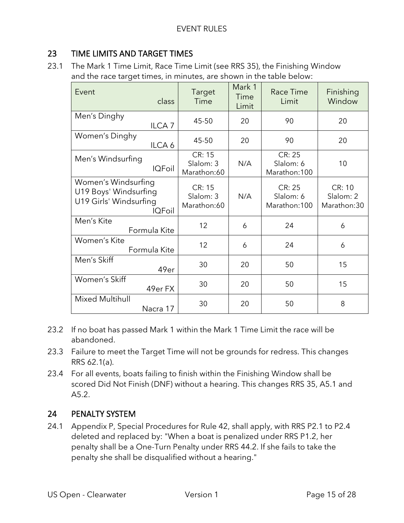## 23 TIME LIMITS AND TARGET TIMES

23.1 The Mark 1 Time Limit, Race Time Limit (see RRS 35), the Finishing Window and the race target times, in minutes, are shown in the table below:

| Event<br>class                                                                   | <b>Target</b><br>Time              | Mark 1<br>Time<br>Limit | <b>Race Time</b><br>Limit                   | Finishing<br>Window                |
|----------------------------------------------------------------------------------|------------------------------------|-------------------------|---------------------------------------------|------------------------------------|
| Men's Dinghy<br>ILCA <sub>7</sub>                                                | 45-50                              | 20                      | 90                                          | 20                                 |
| Women's Dinghy<br>ILCA 6                                                         | 45-50                              | 20                      | 90                                          | 20                                 |
| Men's Windsurfing<br><b>IQFoil</b>                                               | CR: 15<br>Slalom: 3<br>Marathon:60 | N/A                     | CR: 25<br>Slalom: 6<br>Marathon: 100        | 10                                 |
| Women's Windsurfing<br>U19 Boys' Windsurfing<br>U19 Girls' Windsurfing<br>IQFoil | CR: 15<br>Slalom: 3<br>Marathon:60 | N/A                     | <b>CR: 25</b><br>Slalom: 6<br>Marathon: 100 | CR: 10<br>Slalom: 2<br>Marathon:30 |
| Men's Kite<br>Formula Kite                                                       | 12                                 | 6                       | 24                                          | 6                                  |
| Women's Kite<br>Formula Kite                                                     | 12                                 | 6                       | 24                                          | 6                                  |
| Men's Skiff<br>49er                                                              | 30                                 | 20                      | 50                                          | 15                                 |
| Women's Skiff<br>49er FX                                                         | 30                                 | 20                      | 50                                          | 15                                 |
| <b>Mixed Multihull</b><br>Nacra 17                                               | 30                                 | 20                      | 50                                          | 8                                  |

- 23.2 If no boat has passed Mark 1 within the Mark 1 Time Limit the race will be abandoned.
- 23.3 Failure to meet the Target Time will not be grounds for redress. This changes RRS 62.1(a).
- 23.4 For all events, boats failing to finish within the Finishing Window shall be scored Did Not Finish (DNF) without a hearing. This changes RRS 35, A5.1 and A5.2.

#### 24 PENALTY SYSTEM

24.1 Appendix P, Special Procedures for Rule 42, shall apply, with RRS P2.1 to P2.4 deleted and replaced by: "When a boat is penalized under RRS P1.2, her penalty shall be a One-Turn Penalty under RRS 44.2. If she fails to take the penalty she shall be disqualified without a hearing."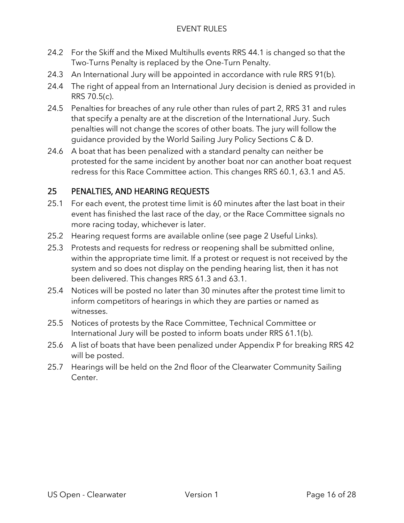- 24.2 For the Skiff and the Mixed Multihulls events RRS 44.1 is changed so that the Two-Turns Penalty is replaced by the One-Turn Penalty.
- 24.3 An International Jury will be appointed in accordance with rule RRS 91(b).
- 24.4 The right of appeal from an International Jury decision is denied as provided in RRS 70.5(c).
- 24.5 Penalties for breaches of any rule other than rules of part 2, RRS 31 and rules that specify a penalty are at the discretion of the International Jury. Such penalties will not change the scores of other boats. The jury will follow the guidance provided by the World Sailing Jury Policy Sections C & D.
- 24.6 A boat that has been penalized with a standard penalty can neither be protested for the same incident by another boat nor can another boat request redress for this Race Committee action. This changes RRS 60.1, 63.1 and A5.

## 25 PENALTIES, AND HEARING REQUESTS

- 25.1 For each event, the protest time limit is 60 minutes after the last boat in their event has finished the last race of the day, or the Race Committee signals no more racing today, whichever is later.
- 25.2 Hearing request forms are available online (see page 2 Useful Links).
- 25.3 Protests and requests for redress or reopening shall be submitted online, within the appropriate time limit. If a protest or request is not received by the system and so does not display on the pending hearing list, then it has not been delivered. This changes RRS 61.3 and 63.1.
- 25.4 Notices will be posted no later than 30 minutes after the protest time limit to inform competitors of hearings in which they are parties or named as witnesses.
- 25.5 Notices of protests by the Race Committee, Technical Committee or International Jury will be posted to inform boats under RRS 61.1(b).
- 25.6 A list of boats that have been penalized under Appendix P for breaking RRS 42 will be posted.
- 25.7 Hearings will be held on the 2nd floor of the Clearwater Community Sailing Center.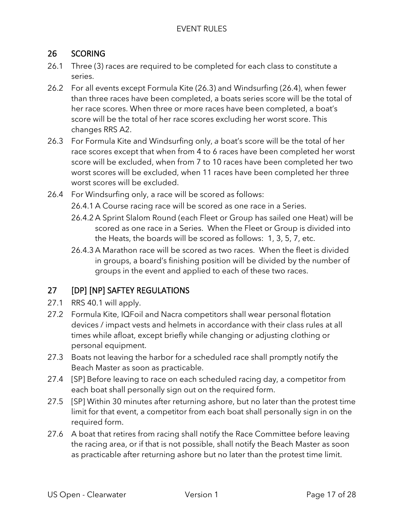## 26 SCORING

- 26.1 Three (3) races are required to be completed for each class to constitute a series.
- 26.2 For all events except Formula Kite (26.3) and Windsurfing (26.4), when fewer than three races have been completed, a boats series score will be the total of her race scores. When three or more races have been completed, a boat's score will be the total of her race scores excluding her worst score. This changes RRS A2.
- 26.3 For Formula Kite and Windsurfing only, *a* boat's score will be the total of her race scores except that when from 4 to 6 races have been completed her worst score will be excluded, when from 7 to 10 races have been completed her two worst scores will be excluded, when 11 races have been completed her three worst scores will be excluded.
- 26.4 For Windsurfing only, a race will be scored as follows:
	- 26.4.1 A Course racing race will be scored as one race in a Series.
	- 26.4.2 A Sprint Slalom Round (each Fleet or Group has sailed one Heat) will be scored as one race in a Series. When the Fleet or Group is divided into the Heats, the boards will be scored as follows: 1, 3, 5, 7, etc.
	- 26.4.3 A Marathon race will be scored as two races. When the fleet is divided in groups, a board's finishing position will be divided by the number of groups in the event and applied to each of these two races.

## 27 [DP] [NP] SAFTEY REGULATIONS

- 27.1 RRS 40.1 will apply.
- 27.2 Formula Kite, IQFoil and Nacra competitors shall wear personal flotation devices / impact vests and helmets in accordance with their class rules at all times while afloat, except briefly while changing or adjusting clothing or personal equipment.
- 27.3 Boats not leaving the harbor for a scheduled race shall promptly notify the Beach Master as soon as practicable.
- 27.4 [SP] Before leaving to race on each scheduled racing day, a competitor from each boat shall personally sign out on the required form.
- 27.5 [SP] Within 30 minutes after returning ashore, but no later than the protest time limit for that event, a competitor from each boat shall personally sign in on the required form.
- 27.6 A boat that retires from racing shall notify the Race Committee before leaving the racing area, or if that is not possible, shall notify the Beach Master as soon as practicable after returning ashore but no later than the protest time limit.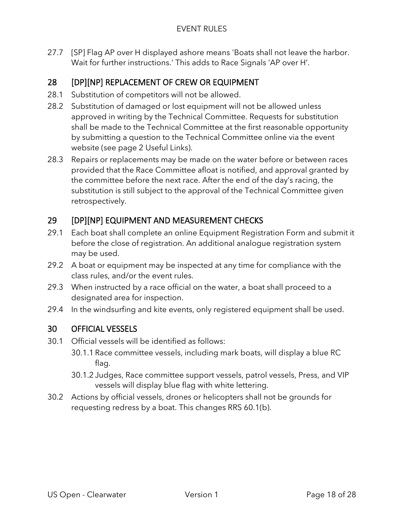27.7 [SP] Flag AP over H displayed ashore means 'Boats shall not leave the harbor. Wait for further instructions.' This adds to Race Signals 'AP over H'.

## 28 [DP][NP] REPLACEMENT OF CREW OR EQUIPMENT

- 28.1 Substitution of competitors will not be allowed.
- 28.2 Substitution of damaged or lost equipment will not be allowed unless approved in writing by the Technical Committee. Requests for substitution shall be made to the Technical Committee at the first reasonable opportunity by submitting a question to the Technical Committee online via the event website (see page 2 Useful Links).
- 28.3 Repairs or replacements may be made on the water before or between races provided that the Race Committee afloat is notified, and approval granted by the committee before the next race. After the end of the day's racing, the substitution is still subject to the approval of the Technical Committee given retrospectively.

## 29 [DP][NP] EQUIPMENT AND MEASUREMENT CHECKS

- 29.1 Each boat shall complete an online Equipment Registration Form and submit it before the close of registration. An additional analogue registration system may be used.
- 29.2 A boat or equipment may be inspected at any time for compliance with the class rules, and/or the event rules.
- 29.3 When instructed by a race official on the water, a boat shall proceed to a designated area for inspection.
- 29.4 In the windsurfing and kite events, only registered equipment shall be used.

## 30 OFFICIAL VESSELS

- 30.1 Official vessels will be identified as follows:
	- 30.1.1 Race committee vessels, including mark boats, will display a blue RC flag.
	- 30.1.2 Judges, Race committee support vessels, patrol vessels, Press, and VIP vessels will display blue flag with white lettering.
- 30.2 Actions by official vessels, drones or helicopters shall not be grounds for requesting redress by a boat. This changes RRS 60.1(b).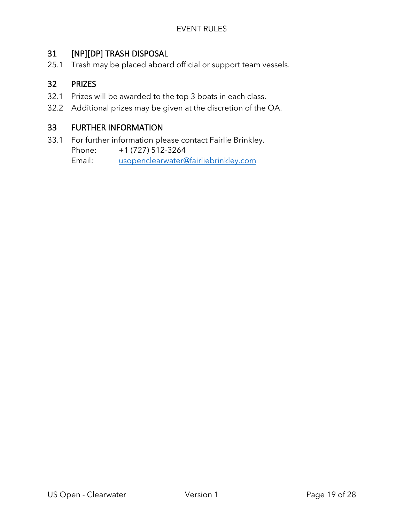## 31 [NP][DP] TRASH DISPOSAL

25.1 Trash may be placed aboard official or support team vessels.

## 32 PRIZES

- 32.1 Prizes will be awarded to the top 3 boats in each class.
- 32.2 Additional prizes may be given at the discretion of the OA.

## 33 FURTHER INFORMATION

33.1 For further information please contact Fairlie Brinkley. Phone: +1 (727) 512-3264

Email: [usopenclearwater@fairliebrinkley.com](mailto:usopenclearwater@fairliebrinkley.com)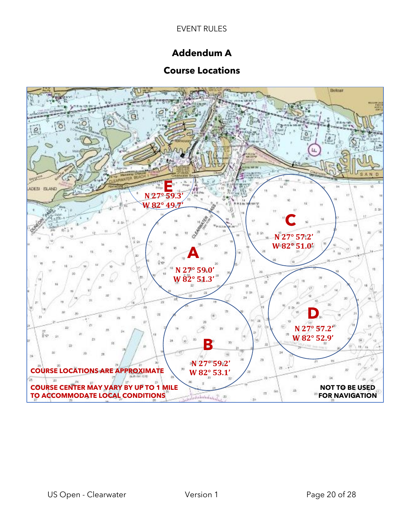## **Addendum A**

## **Course Locations**

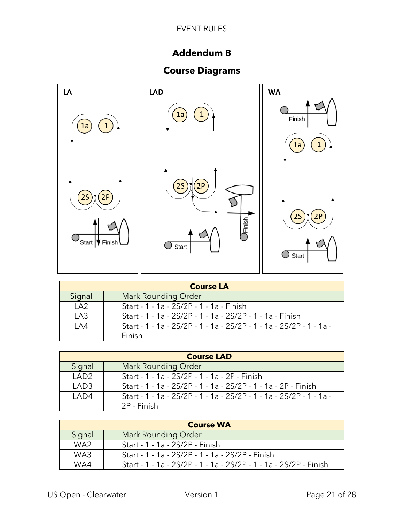## **Addendum B**

## **Course Diagrams**



|                | <b>Course LA</b>                                                    |  |  |
|----------------|---------------------------------------------------------------------|--|--|
| Signal         | <b>Mark Rounding Order</b>                                          |  |  |
| $\overline{A}$ | Start - 1 - 1a - 2S/2P - 1 - 1a - Finish                            |  |  |
| LA3            | Start - 1 - 1a - 2S/2P - 1 - 1a - 2S/2P - 1 - 1a - Finish           |  |  |
| 1 A 4          | Start - 1 - 1a - 2S/2P - 1 - 1a - 2S/2P - 1 - 1a - 2S/2P - 1 - 1a - |  |  |
|                | Finish                                                              |  |  |

|                  | <b>Course LAD</b>                                                   |
|------------------|---------------------------------------------------------------------|
| Signal           | <b>Mark Rounding Order</b>                                          |
| LAD <sub>2</sub> | Start - 1 - 1a - 2S/2P - 1 - 1a - 2P - Finish                       |
| LAD <sub>3</sub> | Start - 1 - 1a - 2S/2P - 1 - 1a - 2S/2P - 1 - 1a - 2P - Finish      |
| LAD4             | Start - 1 - 1a - 2S/2P - 1 - 1a - 2S/2P - 1 - 1a - 2S/2P - 1 - 1a - |
|                  | 2P - Finish                                                         |

|                 | <b>Course WA</b>                                                  |
|-----------------|-------------------------------------------------------------------|
| Signal          | Mark Rounding Order                                               |
| WA <sub>2</sub> | Start - 1 - 1a - 2S/2P - Finish                                   |
| WA3             | Start - 1 - 1a - 2S/2P - 1 - 1a - 2S/2P - Finish                  |
| WA4             | Start - 1 - 1a - 2S/2P - 1 - 1a - 2S/2P - 1 - 1a - 2S/2P - Finish |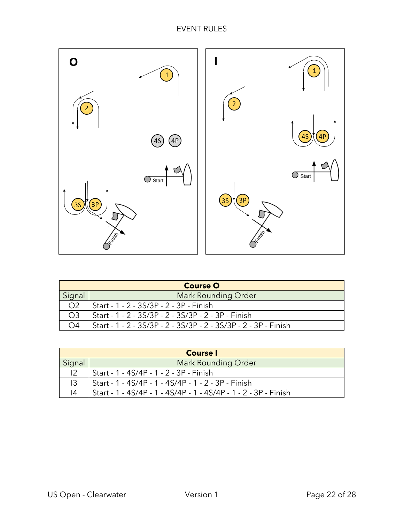

| <b>Course O</b> |                                                                 |
|-----------------|-----------------------------------------------------------------|
| Signal          | <b>Mark Rounding Order</b>                                      |
| O <sub>2</sub>  | Start - 1 - 2 - 3S/3P - 2 - 3P - Finish                         |
| O <sub>3</sub>  | Start - 1 - 2 - 3S/3P - 2 - 3S/3P - 2 - 3P - Finish             |
| O <sub>4</sub>  | Start - 1 - 2 - 3S/3P - 2 - 3S/3P - 2 - 3S/3P - 2 - 3P - Finish |

| <b>Course</b> I |                                                                 |
|-----------------|-----------------------------------------------------------------|
| Signal          | <b>Mark Rounding Order</b>                                      |
|                 | Start - 1 - 4S/4P - 1 - 2 - 3P - Finish                         |
| 13              | Start - 1 - 4S/4P - 1 - 4S/4P - 1 - 2 - 3P - Finish             |
| 14              | Start - 1 - 4S/4P - 1 - 4S/4P - 1 - 4S/4P - 1 - 2 - 3P - Finish |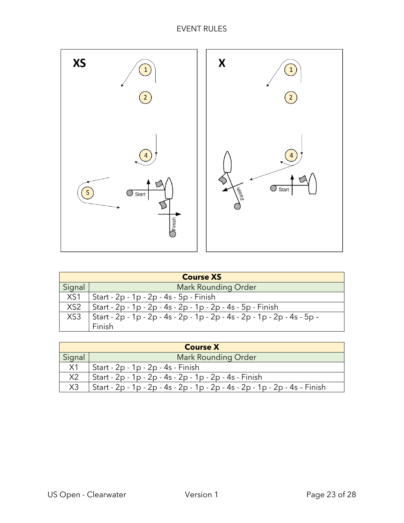

| <b>Course XS</b> |                                                                          |
|------------------|--------------------------------------------------------------------------|
| Signal           | Mark Rounding Order                                                      |
| XS1              | Start - 2p - 1p - 2p - 4s - 5p - Finish                                  |
| XS <sub>2</sub>  | Start - 2p - 1p - 2p - 4s - 2p - 1p - 2p - 4s - 5p - Finish              |
| XS <sub>3</sub>  | Start - 2p - 1p - 2p - 4s - 2p - 1p - 2p - 4s - 2p - 1p - 2p - 4s - 5p - |
|                  | Finish                                                                   |

| <b>Course X</b> |                                                                            |
|-----------------|----------------------------------------------------------------------------|
| Signal          | <b>Mark Rounding Order</b>                                                 |
| X1              | Start - 2p - 1p - 2p - 4s - Finish                                         |
| X <sub>2</sub>  | Start - 2p - 1p - 2p - 4s - 2p - 1p - 2p - 4s - Finish                     |
| X <sub>3</sub>  | Start - 2p - 1p - 2p - 4s - 2p - 1p - 2p - 4s - 2p - 1p - 2p - 4s - Finish |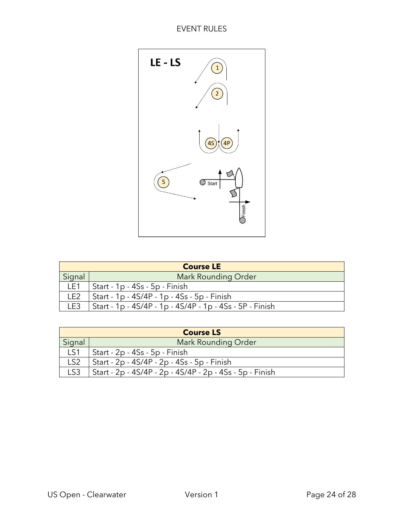

| <b>Course LE</b> |                                                          |
|------------------|----------------------------------------------------------|
| Signal           | <b>Mark Rounding Order</b>                               |
| LE1              | Start - 1p - 4Ss - 5p - Finish                           |
| LE <sub>2</sub>  | Start - 1p - 4S/4P - 1p - 4Ss - 5p - Finish              |
| LE3              | Start - 1p - 4S/4P - 1p - 4S/4P - 1p - 4Ss - 5P - Finish |

| <b>Course LS</b> |                                                          |
|------------------|----------------------------------------------------------|
| Signal           | Mark Rounding Order                                      |
| LS1              | Start - 2p - 4Ss - 5p - Finish                           |
| LS <sub>2</sub>  | Start - 2p - 4S/4P - 2p - 4Ss - 5p - Finish              |
| LS <sub>3</sub>  | Start - 2p - 4S/4P - 2p - 4S/4P - 2p - 4Ss - 5p - Finish |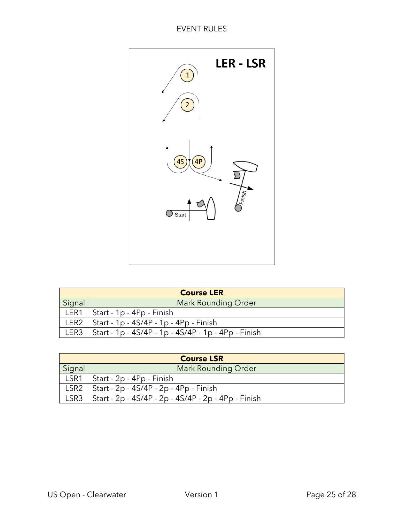

| <b>Course LER</b> |                                                            |
|-------------------|------------------------------------------------------------|
| Signal            | Mark Rounding Order                                        |
| LER1              | Start - 1p - 4Pp - Finish                                  |
| LER <sub>2</sub>  | Start - 1p - 4S/4P - 1p - 4Pp - Finish                     |
|                   | LER3   Start - 1p - 4S/4P - 1p - 4S/4P - 1p - 4Pp - Finish |

| <b>Course LSR</b> |                                                     |
|-------------------|-----------------------------------------------------|
| Signal            | <b>Mark Rounding Order</b>                          |
| LSR1              | Start - 2p - 4Pp - Finish                           |
| LSR <sub>2</sub>  | Start - 2p - 4S/4P - 2p - 4Pp - Finish              |
| LSR <sub>3</sub>  | Start - 2p - 4S/4P - 2p - 4S/4P - 2p - 4Pp - Finish |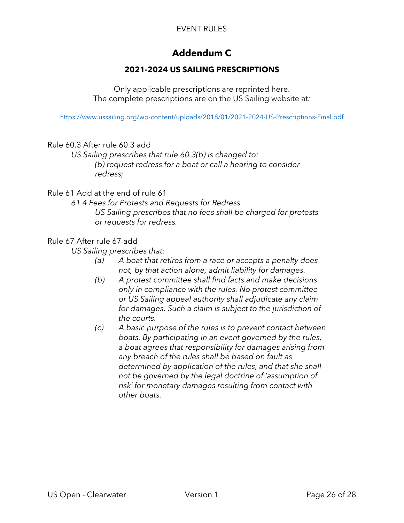## **Addendum C**

#### **2021-2024 US SAILING PRESCRIPTIONS**

Only applicable prescriptions are reprinted here. The complete prescriptions are on the US Sailing website at*:*

<https://www.ussailing.org/wp-content/uploads/2018/01/2021-2024-US-Prescriptions-Final.pdf>

#### Rule 60.3 After rule 60.3 add

*US Sailing prescribes that rule 60.3(b) is changed to: (b) request redress for a boat or call a hearing to consider redress;*

#### Rule 61 Add at the end of rule 61

*61.4 Fees for Protests and Requests for Redress US Sailing prescribes that no fees shall be charged for protests or requests for redress.*

#### Rule 67 After rule 67 add

*US Sailing prescribes that:*

- *(a) A boat that retires from a race or accepts a penalty does not, by that action alone, admit liability for damages.*
- *(b) A protest committee shall find facts and make decisions only in compliance with the rules. No protest committee or US Sailing appeal authority shall adjudicate any claim for damages. Such a claim is subject to the jurisdiction of the courts.*
- *(c) A basic purpose of the rules is to prevent contact between boats. By participating in an event governed by the rules, a boat agrees that responsibility for damages arising from any breach of the rules shall be based on fault as determined by application of the rules, and that she shall not be governed by the legal doctrine of 'assumption of risk' for monetary damages resulting from contact with other boats.*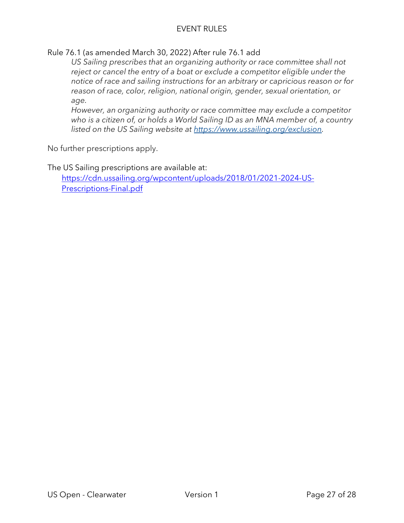Rule 76.1 (as amended March 30, 2022) After rule 76.1 add

*US Sailing prescribes that an organizing authority or race committee shall not reject or cancel the entry of a boat or exclude a competitor eligible under the notice of race and sailing instructions for an arbitrary or capricious reason or for reason of race, color, religion, national origin, gender, sexual orientation, or age.*

*However, an organizing authority or race committee may exclude a competitor who is a citizen of, or holds a World Sailing ID as an MNA member of, a country listed on the US Sailing website at [https://www.ussailing.org/exclusion.](https://www.ussailing.org/exclusion)*

No further prescriptions apply.

The US Sailing prescriptions are available at: [https://cdn.ussailing.org/wpcontent/uploads/2018/01/2021-2024-US-](https://cdn.ussailing.org/wp-content/uploads/2018/01/2021-2024-US-Prescriptions-Final.pdf)[Prescriptions-Final.pdf](https://cdn.ussailing.org/wp-content/uploads/2018/01/2021-2024-US-Prescriptions-Final.pdf)